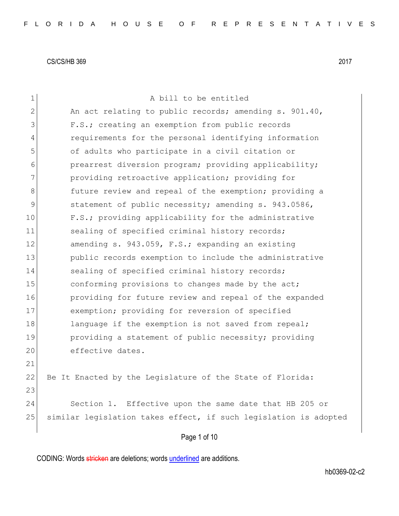| $\mathbf 1$   | A bill to be entitled                                            |
|---------------|------------------------------------------------------------------|
| $\mathbf{2}$  | An act relating to public records; amending s. 901.40,           |
| 3             | F.S.; creating an exemption from public records                  |
| 4             | requirements for the personal identifying information            |
| 5             | of adults who participate in a civil citation or                 |
| 6             | prearrest diversion program; providing applicability;            |
| 7             | providing retroactive application; providing for                 |
| 8             | future review and repeal of the exemption; providing a           |
| $\mathcal{G}$ | statement of public necessity; amending s. 943.0586,             |
| 10            | F.S.; providing applicability for the administrative             |
| 11            | sealing of specified criminal history records;                   |
| 12            | amending s. 943.059, F.S.; expanding an existing                 |
| 13            | public records exemption to include the administrative           |
| 14            | sealing of specified criminal history records;                   |
| 15            | conforming provisions to changes made by the act;                |
| 16            | providing for future review and repeal of the expanded           |
| 17            | exemption; providing for reversion of specified                  |
| 18            | language if the exemption is not saved from repeal;              |
| 19            | providing a statement of public necessity; providing             |
| 20            | effective dates.                                                 |
| 21            |                                                                  |
| 22            | Be It Enacted by the Legislature of the State of Florida:        |
| 23            |                                                                  |
| 24            | Section 1. Effective upon the same date that HB 205 or           |
| 25            | similar legislation takes effect, if such legislation is adopted |
|               | Page 1 of 10                                                     |
|               |                                                                  |

CODING: Words stricken are deletions; words underlined are additions.

hb0369-02-c2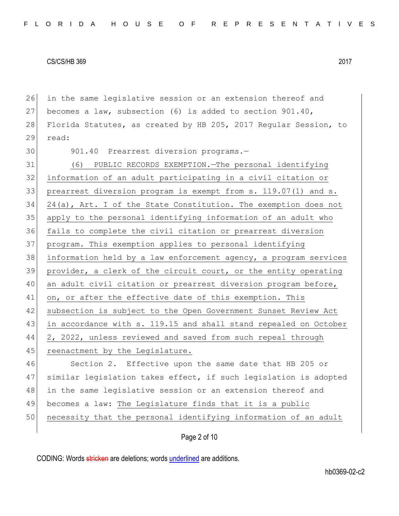26 in the same legislative session or an extension thereof and 27 becomes a law, subsection (6) is added to section 901.40, 28 Florida Statutes, as created by HB 205, 2017 Regular Session, to 29 read: 30 901.40 Prearrest diversion programs.-31 (6) PUBLIC RECORDS EXEMPTION.—The personal identifying 32 information of an adult participating in a civil citation or 33 prearrest diversion program is exempt from s. 119.07(1) and s. 34 24(a), Art. I of the State Constitution. The exemption does not 35 apply to the personal identifying information of an adult who 36 fails to complete the civil citation or prearrest diversion 37 program. This exemption applies to personal identifying 38 information held by a law enforcement agency, a program services 39 provider, a clerk of the circuit court, or the entity operating 40 an adult civil citation or prearrest diversion program before, 41 on, or after the effective date of this exemption. This 42 subsection is subject to the Open Government Sunset Review Act 43 in accordance with s. 119.15 and shall stand repealed on October 44 2, 2022, unless reviewed and saved from such repeal through 45 reenactment by the Legislature. 46 Section 2. Effective upon the same date that HB 205 or 47 similar legislation takes effect, if such legislation is adopted 48 in the same legislative session or an extension thereof and 49 becomes a law: The Legislature finds that it is a public 50 necessity that the personal identifying information of an adult

Page 2 of 10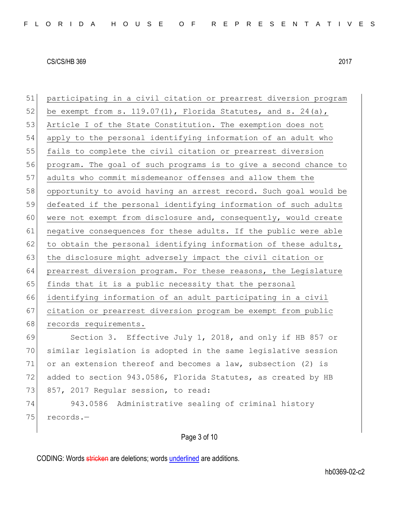| 51 | participating in a civil citation or prearrest diversion program   |
|----|--------------------------------------------------------------------|
| 52 | be exempt from s. $119.07(1)$ , Florida Statutes, and s. $24(a)$ , |
| 53 | Article I of the State Constitution. The exemption does not        |
| 54 | apply to the personal identifying information of an adult who      |
| 55 | fails to complete the civil citation or prearrest diversion        |
| 56 | program. The goal of such programs is to give a second chance to   |
| 57 | adults who commit misdemeanor offenses and allow them the          |
| 58 | opportunity to avoid having an arrest record. Such goal would be   |
| 59 | defeated if the personal identifying information of such adults    |
| 60 | were not exempt from disclosure and, consequently, would create    |
| 61 | negative consequences for these adults. If the public were able    |
| 62 | to obtain the personal identifying information of these adults,    |
| 63 | the disclosure might adversely impact the civil citation or        |
| 64 | prearrest diversion program. For these reasons, the Legislature    |
| 65 | finds that it is a public necessity that the personal              |
| 66 | identifying information of an adult participating in a civil       |
| 67 | citation or prearrest diversion program be exempt from public      |
| 68 | records requirements.                                              |
| 69 | Section 3. Effective July 1, 2018, and only if HB 857 or           |
| 70 | similar legislation is adopted in the same legislative session     |
| 71 | or an extension thereof and becomes a law, subsection (2) is       |
| 72 | added to section 943.0586, Florida Statutes, as created by HB      |
| 73 | 857, 2017 Reqular session, to read:                                |
| 74 | 943.0586 Administrative sealing of criminal history                |
| 75 | records.-                                                          |
|    |                                                                    |

Page 3 of 10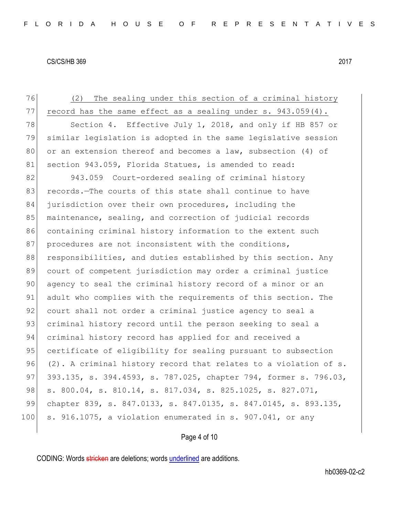76 (2) The sealing under this section of a criminal history 77 record has the same effect as a sealing under s.  $943.059(4)$ . 78 Section 4. Effective July 1, 2018, and only if HB 857 or 79 similar legislation is adopted in the same legislative session 80 or an extension thereof and becomes a law, subsection (4) of 81 section 943.059, Florida Statues, is amended to read: 82 943.059 Court-ordered sealing of criminal history 83 records.—The courts of this state shall continue to have 84 jurisdiction over their own procedures, including the 85 maintenance, sealing, and correction of judicial records 86 containing criminal history information to the extent such 87 procedures are not inconsistent with the conditions, 88 responsibilities, and duties established by this section. Any 89 court of competent jurisdiction may order a criminal justice 90 agency to seal the criminal history record of a minor or an 91 adult who complies with the requirements of this section. The 92 court shall not order a criminal justice agency to seal a 93 criminal history record until the person seeking to seal a 94 criminal history record has applied for and received a 95 certificate of eligibility for sealing pursuant to subsection 96 (2). A criminal history record that relates to a violation of s. 97 393.135, s. 394.4593, s. 787.025, chapter 794, former s. 796.03, 98 s. 800.04, s. 810.14, s. 817.034, s. 825.1025, s. 827.071, 99 chapter 839, s. 847.0133, s. 847.0135, s. 847.0145, s. 893.135,  $100$  s. 916.1075, a violation enumerated in s. 907.041, or any

## Page 4 of 10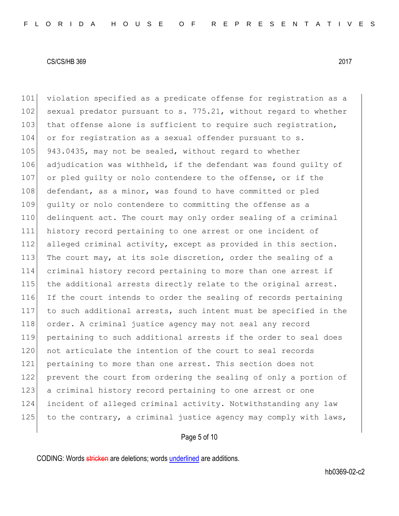101 violation specified as a predicate offense for registration as a 102 sexual predator pursuant to s.  $775.21$ , without regard to whether 103 that offense alone is sufficient to require such registration, 104 or for registration as a sexual offender pursuant to s. 105 943.0435, may not be sealed, without regard to whether 106 adjudication was withheld, if the defendant was found guilty of 107 or pled quilty or nolo contendere to the offense, or if the 108 defendant, as a minor, was found to have committed or pled 109 guilty or nolo contendere to committing the offense as a 110 delinquent act. The court may only order sealing of a criminal 111 history record pertaining to one arrest or one incident of 112 alleged criminal activity, except as provided in this section. 113 The court may, at its sole discretion, order the sealing of a 114 criminal history record pertaining to more than one arrest if 115 the additional arrests directly relate to the original arrest. 116 If the court intends to order the sealing of records pertaining 117 to such additional arrests, such intent must be specified in the 118 order. A criminal justice agency may not seal any record 119 pertaining to such additional arrests if the order to seal does 120 not articulate the intention of the court to seal records 121 pertaining to more than one arrest. This section does not 122 prevent the court from ordering the sealing of only a portion of 123 a criminal history record pertaining to one arrest or one 124 incident of alleged criminal activity. Notwithstanding any law 125 to the contrary, a criminal justice agency may comply with laws,

Page 5 of 10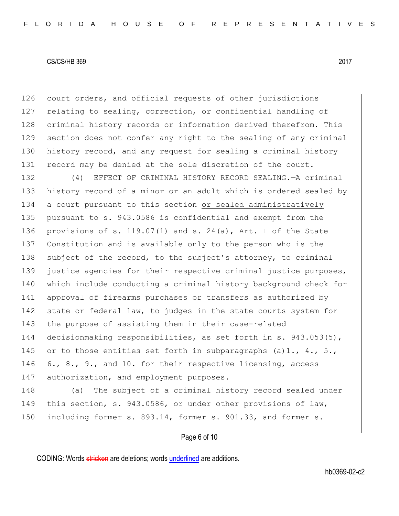126 court orders, and official requests of other jurisdictions 127 relating to sealing, correction, or confidential handling of 128 criminal history records or information derived therefrom. This 129 section does not confer any right to the sealing of any criminal 130 history record, and any request for sealing a criminal history 131 record may be denied at the sole discretion of the court.

132 (4) EFFECT OF CRIMINAL HISTORY RECORD SEALING.—A criminal 133 history record of a minor or an adult which is ordered sealed by 134 a court pursuant to this section or sealed administratively 135 pursuant to s. 943.0586 is confidential and exempt from the 136 provisions of s. 119.07(1) and s. 24(a), Art. I of the State 137 Constitution and is available only to the person who is the 138 subject of the record, to the subject's attorney, to criminal 139 justice agencies for their respective criminal justice purposes, 140 which include conducting a criminal history background check for 141 approval of firearms purchases or transfers as authorized by 142 state or federal law, to judges in the state courts system for 143 the purpose of assisting them in their case-related 144 decisionmaking responsibilities, as set forth in s. 943.053(5), 145 or to those entities set forth in subparagraphs (a)1.,  $4.$ , 5., 146 6., 8., 9., and 10. for their respective licensing, access 147 authorization, and employment purposes.

148 (a) The subject of a criminal history record sealed under 149 this section, s. 943.0586, or under other provisions of law, 150 including former s. 893.14, former s. 901.33, and former s.

Page 6 of 10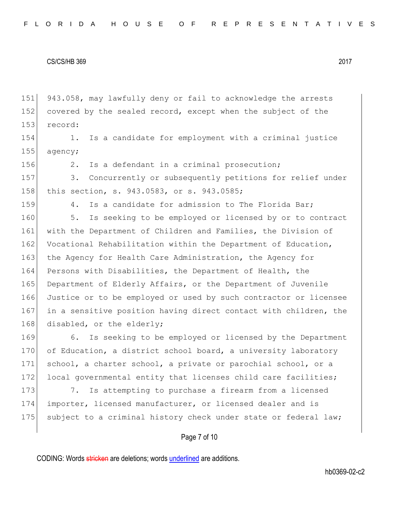151 943.058, may lawfully deny or fail to acknowledge the arrests 152 covered by the sealed record, except when the subject of the 153 record:

154 1. Is a candidate for employment with a criminal justice 155 agency;

156 2. Is a defendant in a criminal prosecution;

157 3. Concurrently or subsequently petitions for relief under 158 this section, s. 943.0583, or s. 943.0585;

159 4. Is a candidate for admission to The Florida Bar;

160 5. Is seeking to be employed or licensed by or to contract 161 with the Department of Children and Families, the Division of 162 Vocational Rehabilitation within the Department of Education, 163 the Agency for Health Care Administration, the Agency for 164 Persons with Disabilities, the Department of Health, the 165 Department of Elderly Affairs, or the Department of Juvenile 166 Justice or to be employed or used by such contractor or licensee 167 in a sensitive position having direct contact with children, the 168 disabled, or the elderly;

169 6. Is seeking to be employed or licensed by the Department 170 of Education, a district school board, a university laboratory 171 school, a charter school, a private or parochial school, or a 172 local governmental entity that licenses child care facilities;

173 7. Is attempting to purchase a firearm from a licensed 174 importer, licensed manufacturer, or licensed dealer and is 175 subject to a criminal history check under state or federal law;

## Page 7 of 10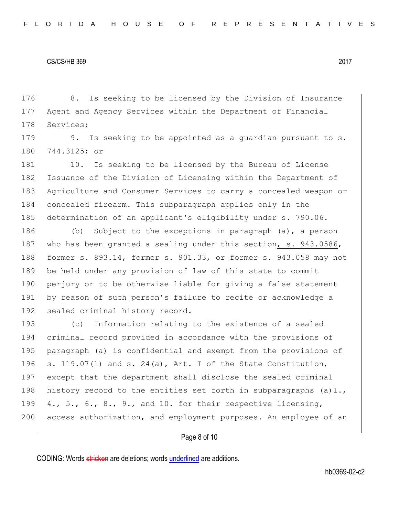176 8. Is seeking to be licensed by the Division of Insurance 177 Agent and Agency Services within the Department of Financial 178 Services;

179 9. Is seeking to be appointed as a quardian pursuant to s. 180 744.3125; or

181 10. Is seeking to be licensed by the Bureau of License 182 Issuance of the Division of Licensing within the Department of 183 Agriculture and Consumer Services to carry a concealed weapon or 184 concealed firearm. This subparagraph applies only in the 185 determination of an applicant's eligibility under s. 790.06.

186 (b) Subject to the exceptions in paragraph (a), a person 187 who has been granted a sealing under this section, s. 943.0586, 188 former s. 893.14, former s. 901.33, or former s. 943.058 may not 189 be held under any provision of law of this state to commit 190 perjury or to be otherwise liable for giving a false statement 191 by reason of such person's failure to recite or acknowledge a 192 sealed criminal history record.

193 (c) Information relating to the existence of a sealed 194 criminal record provided in accordance with the provisions of 195 paragraph (a) is confidential and exempt from the provisions of 196 s. 119.07(1) and s. 24(a), Art. I of the State Constitution, 197 except that the department shall disclose the sealed criminal 198 history record to the entities set forth in subparagraphs (a)1., 199 4., 5., 6., 8., 9., and 10. for their respective licensing, 200 access authorization, and employment purposes. An employee of an

## Page 8 of 10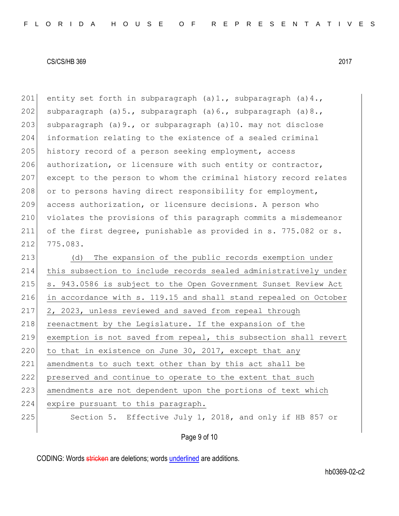201 entity set forth in subparagraph  $(a)1$ ., subparagraph  $(a)4$ ., 202 subparagraph (a)5., subparagraph (a)6., subparagraph (a)8., 203 subparagraph (a)  $9.$ , or subparagraph (a) 10. may not disclose 204 information relating to the existence of a sealed criminal 205 history record of a person seeking employment, access 206 authorization, or licensure with such entity or contractor, 207 except to the person to whom the criminal history record relates 208 or to persons having direct responsibility for employment, 209 access authorization, or licensure decisions. A person who 210 violates the provisions of this paragraph commits a misdemeanor 211 of the first degree, punishable as provided in s. 775.082 or s. 212 775.083.

213 (d) The expansion of the public records exemption under 214 this subsection to include records sealed administratively under 215 s. 943.0586 is subject to the Open Government Sunset Review Act 216 in accordance with s. 119.15 and shall stand repealed on October 217 2, 2023, unless reviewed and saved from repeal through 218 reenactment by the Legislature. If the expansion of the 219 exemption is not saved from repeal, this subsection shall revert 220 to that in existence on June 30, 2017, except that any 221 amendments to such text other than by this act shall be 222 preserved and continue to operate to the extent that such 223 amendments are not dependent upon the portions of text which 224 expire pursuant to this paragraph. 225 Section 5. Effective July 1, 2018, and only if HB 857 or

Page 9 of 10